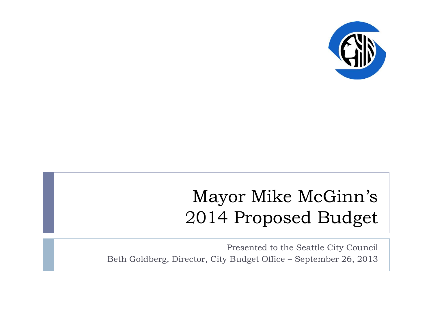

### Mayor Mike McGinn's 2014 Proposed Budget

Presented to the Seattle City Council Beth Goldberg, Director, City Budget Office – September 26, 2013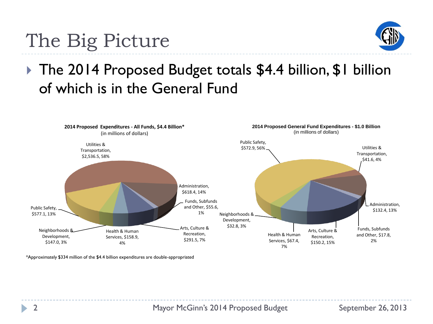

# The Big Picture

▶ The 2014 Proposed Budget totals \$4.4 billion, \$1 billion of which is in the General Fund

#### Arts, Culture & Recreation, \$291.5, 7% Health & Human Services, \$158.9, 4% Neighborhoods & Development, \$147.0, 3% Public Safety, \$577.1, 13% Utilities & Transportation, \$2,536.5, 58% Administration, \$618.4, 14% Funds, Subfunds and Other, \$55.6, 1% **2014 Proposed Expenditures - All Funds, \$4.4 Billion\*** (in millions of dollars) Arts, Culture & Recreation, \$150.2, 15% Health & Human Services, \$67.4, 7% Neighborhoods & Development, \$32.8, 3% Public Safety, \$572.9, 56% Utilities & Transportation, \$41.6, 4% Administration, \$132.4, 13% Funds, Subfunds and Other, \$17.8, 2% **2014 Proposed General Fund Expenditures - \$1.0 Billion** (in millions of dollars)

\*Approximately \$334 million of the \$4.4 billion expenditures are double-appropriated

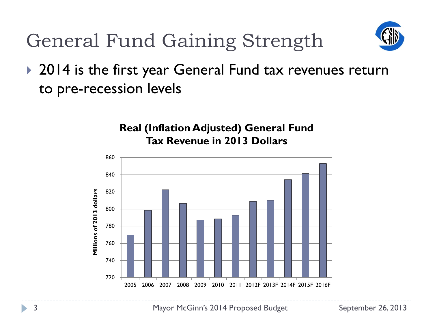

General Fund Gaining Strength

▶ 2014 is the first year General Fund tax revenues return to pre-recession levels



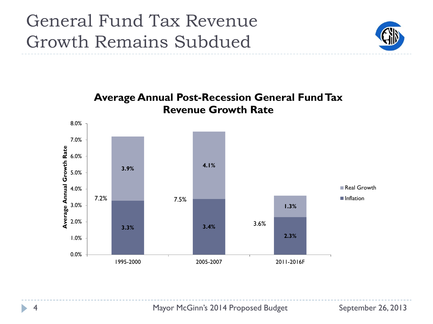#### General Fund Tax Revenue Growth Remains Subdued





4 Mayor McGinn's 2014 Proposed Budget September 26, 2013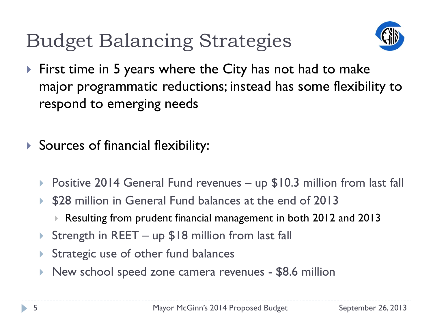Budget Balancing Strategies



- ▶ First time in 5 years where the City has not had to make major programmatic reductions; instead has some flexibility to respond to emerging needs
- **Sources of financial flexibility:** 
	- ▶ Positive 2014 General Fund revenues up \$10.3 million from last fall
	- \$28 million in General Fund balances at the end of 2013
		- Resulting from prudent financial management in both 2012 and 2013
	- ▶ Strength in REET up \$18 million from last fall
	- Strategic use of other fund balances
	- New school speed zone camera revenues \$8.6 million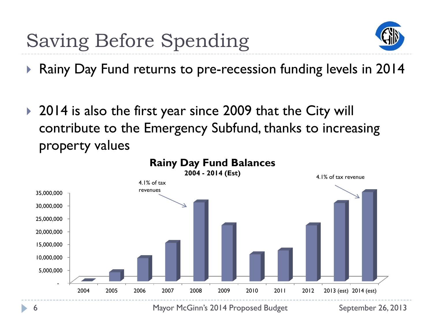

▶ Rainy Day Fund returns to pre-recession funding levels in 2014

▶ 2014 is also the first year since 2009 that the City will contribute to the Emergency Subfund, thanks to increasing property values



6 Mayor McGinn's 2014 Proposed Budget September 26, 2013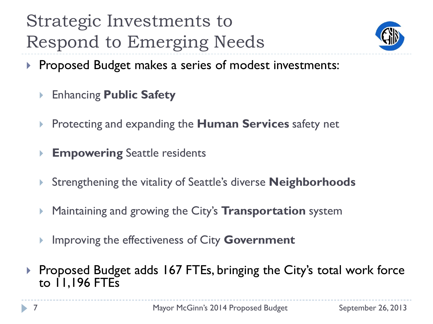# Strategic Investments to Respond to Emerging Needs



- **Proposed Budget makes a series of modest investments:** 
	- Enhancing **Public Safety**
	- **Protecting and expanding the Human Services safety net**
	- **Empowering** Seattle residents
	- Strengthening the vitality of Seattle's diverse **Neighborhoods**
	- Maintaining and growing the City's **Transportation** system
	- Improving the effectiveness of City **Government**
- ▶ Proposed Budget adds 167 FTEs, bringing the City's total work force to  $1,196$  FTEs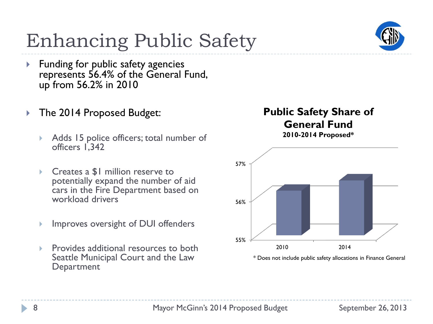# Enhancing Public Safety

- ▶ Funding for public safety agencies represents 56.4% of the General Fund, up from 56.2% in 2010
- ▶ The 2014 Proposed Budget:
	- Adds 15 police officers; total number of officers 1,342
	- Creates a \$1 million reserve to potentially expand the number of aid cars in the Fire Department based on workload drivers
	- Improves oversight of DUI offenders
	- Provides additional resources to both Seattle Municipal Court and the Law **Department**

#### **Public Safety Share of General Fund 2010-2014 Proposed\***



\* Does not include public safety allocations in Finance General



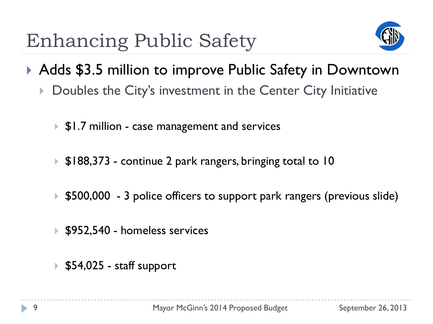

- ▶ Adds \$3.5 million to improve Public Safety in Downtown
	- Doubles the City's investment in the Center City Initiative
		- ▶ \$1.7 million case management and services
		- ▶ \$188,373 continue 2 park rangers, bringing total to 10
		- ▶ \$500,000 3 police officers to support park rangers (previous slide)
		- ▶ \$952,540 homeless services
		- $\triangleright$  \$54,025 staff support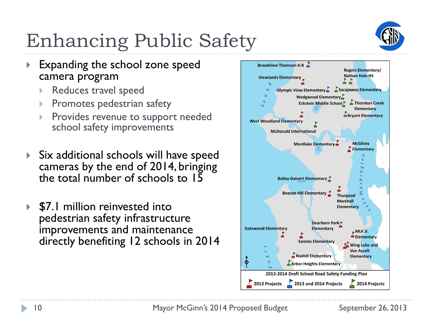

# Enhancing Public Safety

- **Expanding the school zone speed** camera program
	- Reduces travel speed
	- Promotes pedestrian safety
	- Provides revenue to support needed school safety improvements
- Six additional schools will have speed cameras by the end of 2014, bringing the total number of schools to 15
- **▶ \$7.1 million reinvested into** pedestrian safety infrastructure improvements and maintenance directly benefiting 12 schools in 2014

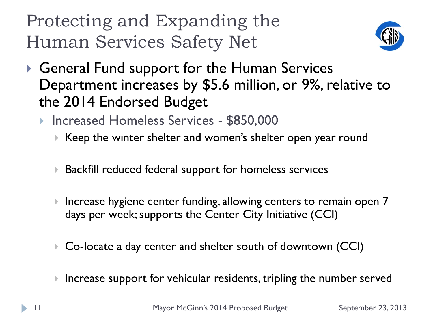

- ▶ General Fund support for the Human Services Department increases by \$5.6 million, or 9%, relative to the 2014 Endorsed Budget
	- ▶ Increased Homeless Services \$850,000
		- ▶ Keep the winter shelter and women's shelter open year round
		- ▶ Backfill reduced federal support for homeless services
		- ▶ Increase hygiene center funding, allowing centers to remain open 7 days per week; supports the Center City Initiative (CCI)
		- ▶ Co-locate a day center and shelter south of downtown (CCI)
		- $\blacktriangleright$  Increase support for vehicular residents, tripling the number served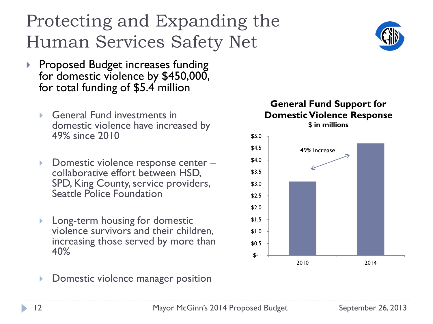- **Proposed Budget increases funding** for domestic violence by \$450,000, for total funding of \$5.4 million
	- General Fund investments in domestic violence have increased by 49% since 2010
	- ▶ Domestic violence response center collaborative effort between HSD, SPD, King County, service providers, Seattle Police Foundation
	- Long-term housing for domestic violence survivors and their children, increasing those served by more than 40%
	- Domestic violence manager position

#### **General Fund Support for Domestic Violence Response \$ in millions**





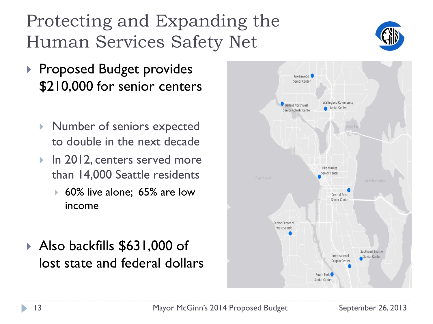- ▶ Proposed Budget provides \$210,000 for senior centers
	- Number of seniors expected to double in the next decade
	- ▶ In 2012, centers served more than 14,000 Seattle residents
		- 60% live alone; 65% are low income
- Also backfills \$631,000 of lost state and federal dollars



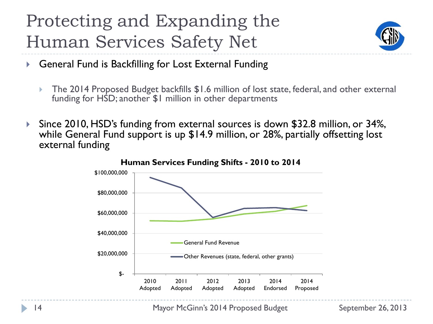

- ▶ General Fund is Backfilling for Lost External Funding
	- The 2014 Proposed Budget backfills \$1.6 million of lost state, federal, and other external funding for HSD; another \$1 million in other departments
- Since 2010, HSD's funding from external sources is down \$32.8 million, or 34%, while General Fund support is up \$14.9 million, or 28%, partially offsetting lost external funding



14 Mayor McGinn's 2014 Proposed Budget September 26, 2013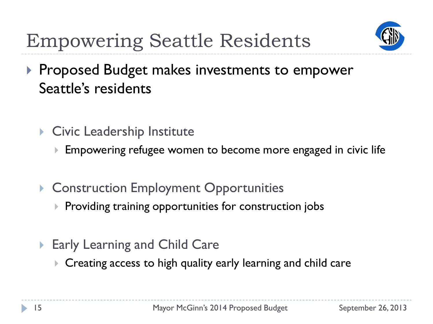

# Empowering Seattle Residents

- **Proposed Budget makes investments to empower** Seattle's residents
	- ▶ Civic Leadership Institute
		- ▶ Empowering refugee women to become more engaged in civic life
	- ▶ Construction Employment Opportunities
		- $\triangleright$  Providing training opportunities for construction jobs
	- ▶ Early Learning and Child Care
		- Creating access to high quality early learning and child care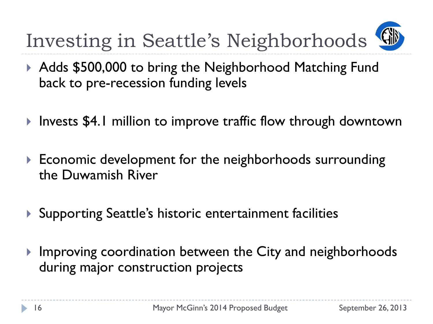Investing in Seattle's Neighborhoods

- ▶ Adds \$500,000 to bring the Neighborhood Matching Fund back to pre-recession funding levels
- ▶ Invests \$4.1 million to improve traffic flow through downtown
- ▶ Economic development for the neighborhoods surrounding the Duwamish River
- ▶ Supporting Seattle's historic entertainment facilities
- Improving coordination between the City and neighborhoods during major construction projects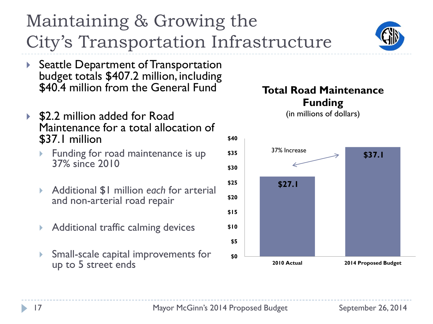

▶ Seattle Department of Transportation budget totals \$407.2 million, including \$40.4 million from the General Fund

Maintaining & Growing the

City's Transportation Infrastructure

- ▶ \$2.2 million added for Road Maintenance for a total allocation of \$37.1 million
	- Funding for road maintenance is up 37% since 2010
	- Additional \$1 million *each* for arterial and non-arterial road repair
	- Additional traffic calming devices
	- Small-scale capital improvements for up to 5 street ends



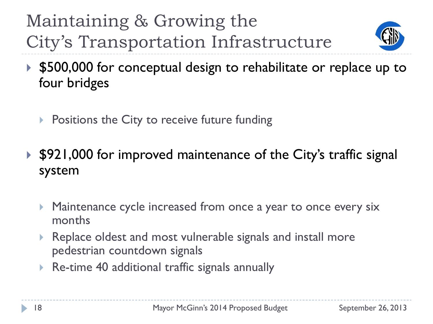Maintaining & Growing the City's Transportation Infrastructure



- ▶ \$500,000 for conceptual design to rehabilitate or replace up to four bridges
	- $\triangleright$  Positions the City to receive future funding
- ▶ \$921,000 for improved maintenance of the City's traffic signal system
	- Maintenance cycle increased from once a year to once every six months
	- Replace oldest and most vulnerable signals and install more pedestrian countdown signals
	- Re-time 40 additional traffic signals annually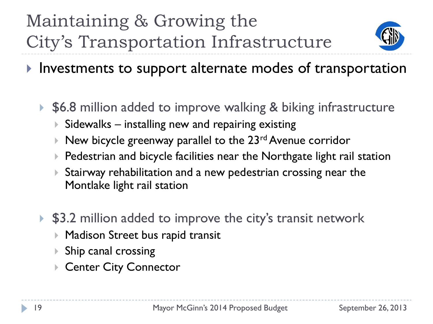

 $\blacktriangleright$  Investments to support alternate modes of transportation

▶ \$6.8 million added to improve walking & biking infrastructure

- $\triangleright$  Sidewalks installing new and repairing existing
- $\blacktriangleright$  New bicycle greenway parallel to the 23<sup>rd</sup> Avenue corridor
- ▶ Pedestrian and bicycle facilities near the Northgate light rail station
- Stairway rehabilitation and a new pedestrian crossing near the Montlake light rail station
- ▶ \$3.2 million added to improve the city's transit network
	- ▶ Madison Street bus rapid transit
	- Ship canal crossing
	- Center City Connector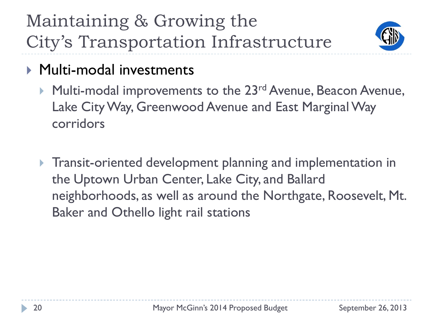Maintaining & Growing the City's Transportation Infrastructure



- ▶ Multi-modal investments
	- Multi-modal improvements to the 23<sup>rd</sup> Avenue, Beacon Avenue, Lake City Way, Greenwood Avenue and East Marginal Way corridors
	- **Transit-oriented development planning and implementation in** the Uptown Urban Center, Lake City, and Ballard neighborhoods, as well as around the Northgate, Roosevelt, Mt. Baker and Othello light rail stations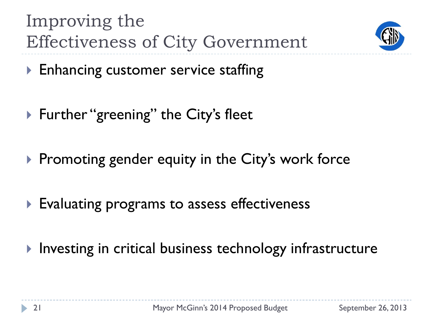



- **Enhancing customer service staffing**
- ▶ Further "greening" the City's fleet
- $\triangleright$  Promoting gender equity in the City's work force
- Evaluating programs to assess effectiveness
- Investing in critical business technology infrastructure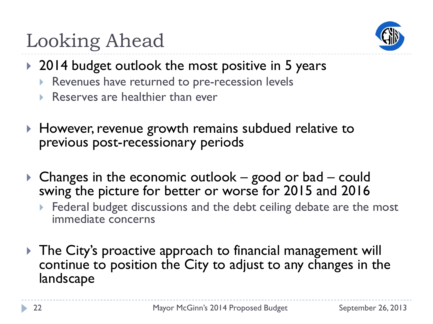

# Looking Ahead

- ▶ 2014 budget outlook the most positive in 5 years
	- Revenues have returned to pre-recession levels
	- Reserves are healthier than ever
- ▶ However, revenue growth remains subdued relative to previous post-recessionary periods
- ▶ Changes in the economic outlook good or bad could swing the picture for better or worse for 2015 and 2016
	- Federal budget discussions and the debt ceiling debate are the most immediate concerns
- ▶ The City's proactive approach to financial management will continue to position the City to adjust to any changes in the landscape